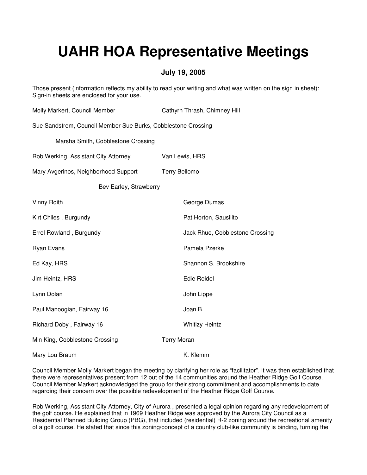# **UAHR HOA Representative Meetings**

### **July 19, 2005**

Those present (information reflects my ability to read your writing and what was written on the sign in sheet): Sign-in sheets are enclosed for your use.

| Molly Markert, Council Member                                 | Cathyrn Thrash, Chimney Hill    |
|---------------------------------------------------------------|---------------------------------|
| Sue Sandstrom, Council Member Sue Burks, Cobblestone Crossing |                                 |
| Marsha Smith, Cobblestone Crossing                            |                                 |
| Rob Werking, Assistant City Attorney                          | Van Lewis, HRS                  |
| Mary Avgerinos, Neighborhood Support                          | <b>Terry Bellomo</b>            |
| Bev Earley, Strawberry                                        |                                 |
| Vinny Roith                                                   | George Dumas                    |
| Kirt Chiles, Burgundy                                         | Pat Horton, Sausilito           |
| Errol Rowland, Burgundy                                       | Jack Rhue, Cobblestone Crossing |
| <b>Ryan Evans</b>                                             | Pamela Pzerke                   |
| Ed Kay, HRS                                                   | Shannon S. Brookshire           |
| Jim Heintz, HRS                                               | <b>Edie Reidel</b>              |
| Lynn Dolan                                                    | John Lippe                      |
| Paul Manoogian, Fairway 16                                    | Joan B.                         |
| Richard Doby, Fairway 16                                      | <b>Whitizy Heintz</b>           |
| Min King, Cobblestone Crossing                                | <b>Terry Moran</b>              |
| Mary Lou Braum                                                | K. Klemm                        |

Council Member Molly Markert began the meeting by clarifying her role as "facilitator". It was then established that there were representatives present from 12 out of the 14 communities around the Heather Ridge Golf Course. Council Member Markert acknowledged the group for their strong commitment and accomplishments to date regarding their concern over the possible redevelopment of the Heather Ridge Golf Course.

Rob Werking, Assistant City Attorney, City of Aurora , presented a legal opinion regarding any redevelopment of the golf course. He explained that in 1969 Heather Ridge was approved by the Aurora City Council as a Residential Planned Building Group (PBG), that included (residential) R-2 zoning around the recreational amenity of a golf course. He stated that since this zoning/concept of a country club-like community is binding, turning the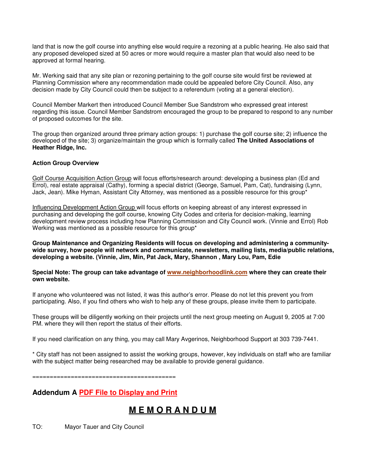land that is now the golf course into anything else would require a rezoning at a public hearing. He also said that any proposed developed sized at 50 acres or more would require a master plan that would also need to be approved at formal hearing.

Mr. Werking said that any site plan or rezoning pertaining to the golf course site would first be reviewed at Planning Commission where any recommendation made could be appealed before City Council. Also, any decision made by City Council could then be subject to a referendum (voting at a general election).

Council Member Markert then introduced Council Member Sue Sandstrom who expressed great interest regarding this issue. Council Member Sandstrom encouraged the group to be prepared to respond to any number of proposed outcomes for the site.

The group then organized around three primary action groups: 1) purchase the golf course site; 2) influence the developed of the site; 3) organize/maintain the group which is formally called **The United Associations of Heather Ridge, Inc.**

### **Action Group Overview**

Golf Course Acquisition Action Group will focus efforts/research around: developing a business plan (Ed and Errol), real estate appraisal (Cathy), forming a special district (George, Samuel, Pam, Cat), fundraising (Lynn, Jack, Jean). Mike Hyman, Assistant City Attorney, was mentioned as a possible resource for this group\*

Influencing Development Action Group will focus efforts on keeping abreast of any interest expressed in purchasing and developing the golf course, knowing City Codes and criteria for decision-making, learning development review process including how Planning Commission and City Council work. (Vinnie and Errol) Rob Werking was mentioned as a possible resource for this group\*

**Group Maintenance and Organizing Residents will focus on developing and administering a communitywide survey, how people will network and communicate, newsletters, mailing lists, media/public relations, developing a website. (Vinnie, Jim, Min, Pat Jack, Mary, Shannon , Mary Lou, Pam, Edie** 

**Special Note: The group can take advantage of www.neighborhoodlink.com where they can create their own website.** 

If anyone who volunteered was not listed, it was this author's error. Please do not let this prevent you from participating. Also, if you find others who wish to help any of these groups, please invite them to participate.

These groups will be diligently working on their projects until the next group meeting on August 9, 2005 at 7:00 PM. where they will then report the status of their efforts.

If you need clarification on any thing, you may call Mary Avgerinos, Neighborhood Support at 303 739-7441.

\* City staff has not been assigned to assist the working groups, however, key individuals on staff who are familiar with the subject matter being researched may be available to provide general guidance.

=========================================

**Addendum A PDF File to Display and Print**

## **M E M O R A N D U M**

TO: Mayor Tauer and City Council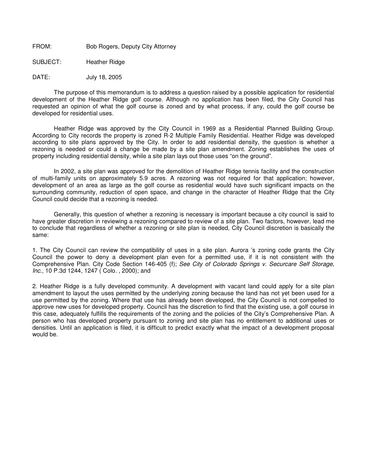FROM: Bob Rogers, Deputy City Attorney

SUBJECT: Heather Ridge

DATE: July 18, 2005

 The purpose of this memorandum is to address a question raised by a possible application for residential development of the Heather Ridge golf course. Although no application has been filed, the City Council has requested an opinion of what the golf course is zoned and by what process, if any, could the golf course be developed for residential uses.

 Heather Ridge was approved by the City Council in 1969 as a Residential Planned Building Group. According to City records the property is zoned R-2 Multiple Family Residential. Heather Ridge was developed according to site plans approved by the City. In order to add residential density, the question is whether a rezoning is needed or could a change be made by a site plan amendment. Zoning establishes the uses of property including residential density, while a site plan lays out those uses "on the ground".

 In 2002, a site plan was approved for the demolition of Heather Ridge tennis facility and the construction of multi-family units on approximately 5.9 acres. A rezoning was not required for that application; however, development of an area as large as the golf course as residential would have such significant impacts on the surrounding community, reduction of open space, and change in the character of Heather Ridge that the City Council could decide that a rezoning is needed.

 Generally, this question of whether a rezoning is necessary is important because a city council is said to have greater discretion in reviewing a rezoning compared to review of a site plan. Two factors, however, lead me to conclude that regardless of whether a rezoning or site plan is needed, City Council discretion is basically the same:

1. The City Council can review the compatibility of uses in a site plan. Aurora 's zoning code grants the City Council the power to deny a development plan even for a permitted use, if it is not consistent with the Comprehensive Plan. City Code Section 146-405 (f); See City of Colorado Springs v. Securcare Self Storage, Inc., 10 P.3d 1244, 1247 ( Colo. , 2000); and

2. Heather Ridge is a fully developed community. A development with vacant land could apply for a site plan amendment to layout the uses permitted by the underlying zoning because the land has not yet been used for a use permitted by the zoning. Where that use has already been developed, the City Council is not compelled to approve new uses for developed property. Council has the discretion to find that the existing use, a golf course in this case, adequately fulfills the requirements of the zoning and the policies of the City's Comprehensive Plan. A person who has developed property pursuant to zoning and site plan has no entitlement to additional uses or densities. Until an application is filed, it is difficult to predict exactly what the impact of a development proposal would be.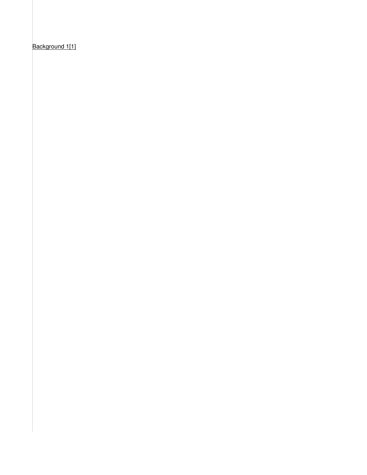Background 1[1]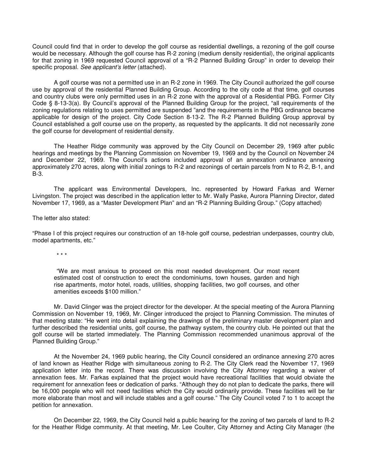Council could find that in order to develop the golf course as residential dwellings, a rezoning of the golf course would be necessary. Although the golf course has R-2 zoning (medium density residential), the original applicants for that zoning in 1969 requested Council approval of a "R-2 Planned Building Group" in order to develop their specific proposal. See applicant's letter (attached).

 A golf course was not a permitted use in an R-2 zone in 1969. The City Council authorized the golf course use by approval of the residential Planned Building Group. According to the city code at that time, golf courses and country clubs were only permitted uses in an R-2 zone with the approval of a Residential PBG. Former City Code § 8-13-3(a). By Council's approval of the Planned Building Group for the project, "all requirements of the zoning regulations relating to uses permitted are suspended "and the requirements in the PBG ordinance became applicable for design of the project. City Code Section 8-13-2. The R-2 Planned Building Group approval by Council established a golf course use on the property, as requested by the applicants. It did not necessarily zone the golf course for development of residential density.

 The Heather Ridge community was approved by the City Council on December 29, 1969 after public hearings and meetings by the Planning Commission on November 19, 1969 and by the Council on November 24 and December 22, 1969. The Council's actions included approval of an annexation ordinance annexing approximately 270 acres, along with initial zonings to R-2 and rezonings of certain parcels from N to R-2, B-1, and B-3.

 The applicant was Environmental Developers, Inc. represented by Howard Farkas and Werner Livingston. The project was described in the application letter to Mr. Wally Paske, Aurora Planning Director, dated November 17, 1969, as a "Master Development Plan" and an "R-2 Planning Building Group." (Copy attached)

The letter also stated:

"Phase I of this project requires our construction of an 18-hole golf course, pedestrian underpasses, country club, model apartments, etc."

\* \* \*

"We are most anxious to proceed on this most needed development. Our most recent estimated cost of construction to erect the condominiums, town houses, garden and high rise apartments, motor hotel, roads, utilities, shopping facilities, two golf courses, and other amenities exceeds \$100 million."

 Mr. David Clinger was the project director for the developer. At the special meeting of the Aurora Planning Commission on November 19, 1969, Mr. Clinger introduced the project to Planning Commission. The minutes of that meeting state: "He went into detail explaining the drawings of the preliminary master development plan and further described the residential units, golf course, the pathway system, the country club. He pointed out that the golf course will be started immediately. The Planning Commission recommended unanimous approval of the Planned Building Group."

 At the November 24, 1969 public hearing, the City Council considered an ordinance annexing 270 acres of land known as Heather Ridge with simultaneous zoning to R-2. The City Clerk read the November 17, 1969 application letter into the record. There was discussion involving the City Attorney regarding a waiver of annexation fees. Mr. Farkas explained that the project would have recreational facilities that would obviate the requirement for annexation fees or dedication of parks. "Although they do not plan to dedicate the parks, there will be 16,000 people who will not need facilities which the City would ordinarily provide. These facilities will be far more elaborate than most and will include stables and a golf course." The City Council voted 7 to 1 to accept the petition for annexation.

 On December 22, 1969, the City Council held a public hearing for the zoning of two parcels of land to R-2 for the Heather Ridge community. At that meeting, Mr. Lee Coulter, City Attorney and Acting City Manager (the